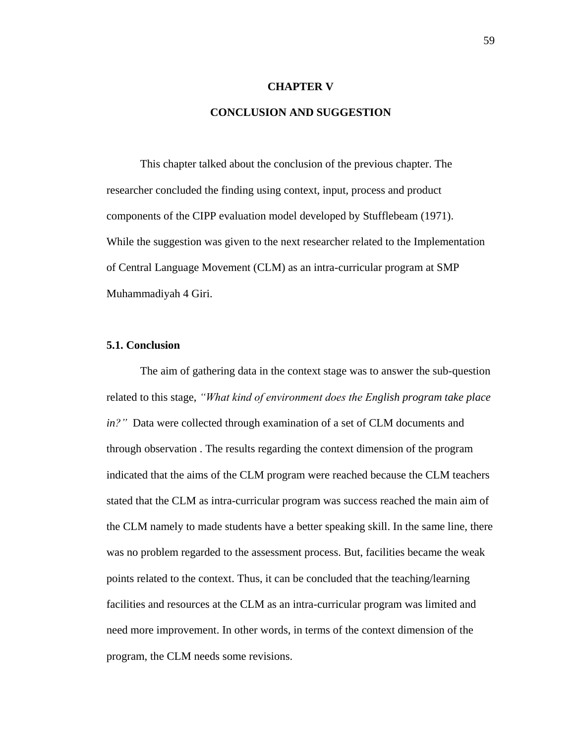#### **CHAPTER V**

# **CONCLUSION AND SUGGESTION**

This chapter talked about the conclusion of the previous chapter. The researcher concluded the finding using context, input, process and product components of the CIPP evaluation model developed by Stufflebeam (1971). While the suggestion was given to the next researcher related to the Implementation of Central Language Movement (CLM) as an intra-curricular program at SMP Muhammadiyah 4 Giri.

## **5.1. Conclusion**

The aim of gathering data in the context stage was to answer the sub-question related to this stage, *"What kind of environment does the English program take place in?"* Data were collected through examination of a set of CLM documents and through observation . The results regarding the context dimension of the program indicated that the aims of the CLM program were reached because the CLM teachers stated that the CLM as intra-curricular program was success reached the main aim of the CLM namely to made students have a better speaking skill. In the same line, there was no problem regarded to the assessment process. But, facilities became the weak points related to the context. Thus, it can be concluded that the teaching/learning facilities and resources at the CLM as an intra-curricular program was limited and need more improvement. In other words, in terms of the context dimension of the program, the CLM needs some revisions.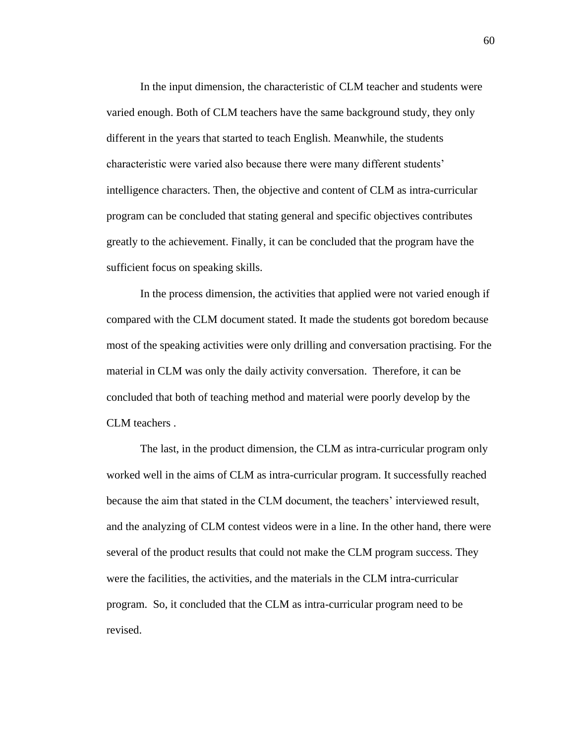In the input dimension, the characteristic of CLM teacher and students were varied enough. Both of CLM teachers have the same background study, they only different in the years that started to teach English. Meanwhile, the students characteristic were varied also because there were many different students' intelligence characters. Then, the objective and content of CLM as intra-curricular program can be concluded that stating general and specific objectives contributes greatly to the achievement. Finally, it can be concluded that the program have the sufficient focus on speaking skills.

In the process dimension, the activities that applied were not varied enough if compared with the CLM document stated. It made the students got boredom because most of the speaking activities were only drilling and conversation practising. For the material in CLM was only the daily activity conversation. Therefore, it can be concluded that both of teaching method and material were poorly develop by the CLM teachers .

The last, in the product dimension, the CLM as intra-curricular program only worked well in the aims of CLM as intra-curricular program. It successfully reached because the aim that stated in the CLM document, the teachers' interviewed result, and the analyzing of CLM contest videos were in a line. In the other hand, there were several of the product results that could not make the CLM program success. They were the facilities, the activities, and the materials in the CLM intra-curricular program. So, it concluded that the CLM as intra-curricular program need to be revised.